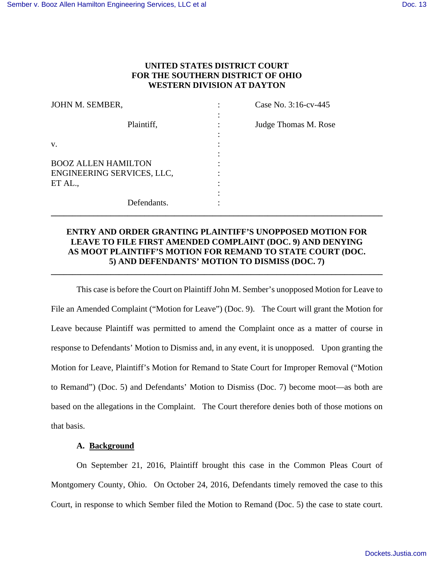# **UNITED STATES DISTRICT COURT FOR THE SOUTHERN DISTRICT OF OHIO WESTERN DIVISION AT DAYTON**

| JOHN M. SEMBER,                                          | Case No. 3:16-cv-445 |
|----------------------------------------------------------|----------------------|
| Plaintiff,                                               | Judge Thomas M. Rose |
| V.                                                       |                      |
| <b>BOOZ ALLEN HAMILTON</b><br>ENGINEERING SERVICES, LLC, |                      |
| ET AL.,                                                  |                      |
| Defendants.                                              |                      |

# **ENTRY AND ORDER GRANTING PLAINTIFF'S UNOPPOSED MOTION FOR LEAVE TO FILE FIRST AMENDED COMPLAINT (DOC. 9) AND DENYING AS MOOT PLAINTIFF'S MOTION FOR REMAND TO STATE COURT (DOC. 5) AND DEFENDANTS' MOTION TO DISMISS (DOC. 7)**

**\_\_\_\_\_\_\_\_\_\_\_\_\_\_\_\_\_\_\_\_\_\_\_\_\_\_\_\_\_\_\_\_\_\_\_\_\_\_\_\_\_\_\_\_\_\_\_\_\_\_\_\_\_\_\_\_\_\_\_\_\_\_\_\_\_\_\_\_\_\_\_\_\_\_\_\_\_\_** 

This case is before the Court on Plaintiff John M. Sember's unopposed Motion for Leave to File an Amended Complaint ("Motion for Leave") (Doc. 9). The Court will grant the Motion for Leave because Plaintiff was permitted to amend the Complaint once as a matter of course in response to Defendants' Motion to Dismiss and, in any event, it is unopposed. Upon granting the Motion for Leave, Plaintiff's Motion for Remand to State Court for Improper Removal ("Motion to Remand") (Doc. 5) and Defendants' Motion to Dismiss (Doc. 7) become moot—as both are based on the allegations in the Complaint. The Court therefore denies both of those motions on that basis.

### **A. Background**

On September 21, 2016, Plaintiff brought this case in the Common Pleas Court of Montgomery County, Ohio. On October 24, 2016, Defendants timely removed the case to this Court, in response to which Sember filed the Motion to Remand (Doc. 5) the case to state court.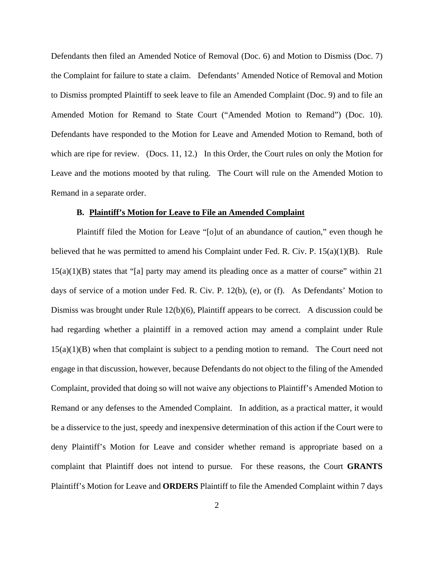Defendants then filed an Amended Notice of Removal (Doc. 6) and Motion to Dismiss (Doc. 7) the Complaint for failure to state a claim. Defendants' Amended Notice of Removal and Motion to Dismiss prompted Plaintiff to seek leave to file an Amended Complaint (Doc. 9) and to file an Amended Motion for Remand to State Court ("Amended Motion to Remand") (Doc. 10). Defendants have responded to the Motion for Leave and Amended Motion to Remand, both of which are ripe for review. (Docs. 11, 12.) In this Order, the Court rules on only the Motion for Leave and the motions mooted by that ruling. The Court will rule on the Amended Motion to Remand in a separate order.

#### **B. Plaintiff's Motion for Leave to File an Amended Complaint**

Plaintiff filed the Motion for Leave "[o]ut of an abundance of caution," even though he believed that he was permitted to amend his Complaint under Fed. R. Civ. P.  $15(a)(1)(B)$ . Rule 15(a)(1)(B) states that "[a] party may amend its pleading once as a matter of course" within 21 days of service of a motion under Fed. R. Civ. P. 12(b), (e), or (f). As Defendants' Motion to Dismiss was brought under Rule 12(b)(6), Plaintiff appears to be correct. A discussion could be had regarding whether a plaintiff in a removed action may amend a complaint under Rule 15(a)(1)(B) when that complaint is subject to a pending motion to remand. The Court need not engage in that discussion, however, because Defendants do not object to the filing of the Amended Complaint, provided that doing so will not waive any objections to Plaintiff's Amended Motion to Remand or any defenses to the Amended Complaint. In addition, as a practical matter, it would be a disservice to the just, speedy and inexpensive determination of this action if the Court were to deny Plaintiff's Motion for Leave and consider whether remand is appropriate based on a complaint that Plaintiff does not intend to pursue. For these reasons, the Court **GRANTS** Plaintiff's Motion for Leave and **ORDERS** Plaintiff to file the Amended Complaint within 7 days